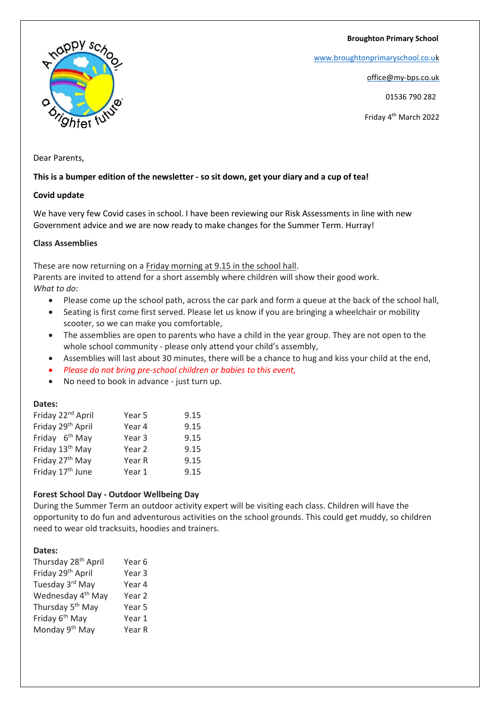**Broughton Primary School**

[www.broughtonprimaryschool.co.u](http://www.broughtonprimaryschool.co.u/)[k](http://www.broughtonprimaryschool.co.uk/)

office@my-bps.co.uk

01536 790 282

Friday 4th March 2022

appy sch hter fu

Dear Parents,

# **This is a bumper edition of the newsletter - so sit down, get your diary and a cup of tea!**

# **Covid update**

We have very few Covid cases in school. I have been reviewing our Risk Assessments in line with new Government advice and we are now ready to make changes for the Summer Term. Hurray!

# **Class Assemblies**

These are now returning on a Friday morning at 9.15 in the school hall.

Parents are invited to attend for a short assembly where children will show their good work. *What to do*:

- Please come up the school path, across the car park and form a queue at the back of the school hall,
- Seating is first come first served. Please let us know if you are bringing a wheelchair or mobility scooter, so we can make you comfortable,
- The assemblies are open to parents who have a child in the year group. They are not open to the whole school community - please only attend your child's assembly,
- Assemblies will last about 30 minutes, there will be a chance to hug and kiss your child at the end,
- *Please do not bring pre-school children or babies to this event,*
- No need to book in advance just turn up.

### **Dates:**

| Year 5 | 9.15 |
|--------|------|
| Year 4 | 9.15 |
| Year 3 | 9.15 |
| Year 2 | 9.15 |
| Year R | 9.15 |
| Year 1 | 9.15 |
|        |      |

### **Forest School Day - Outdoor Wellbeing Day**

During the Summer Term an outdoor activity expert will be visiting each class. Children will have the opportunity to do fun and adventurous activities on the school grounds. This could get muddy, so children need to wear old tracksuits, hoodies and trainers.

### **Dates:**

| Year <sub>3</sub> |
|-------------------|
| Year 4            |
| Year 2            |
| Year 5            |
| Year 1            |
| Year R            |
|                   |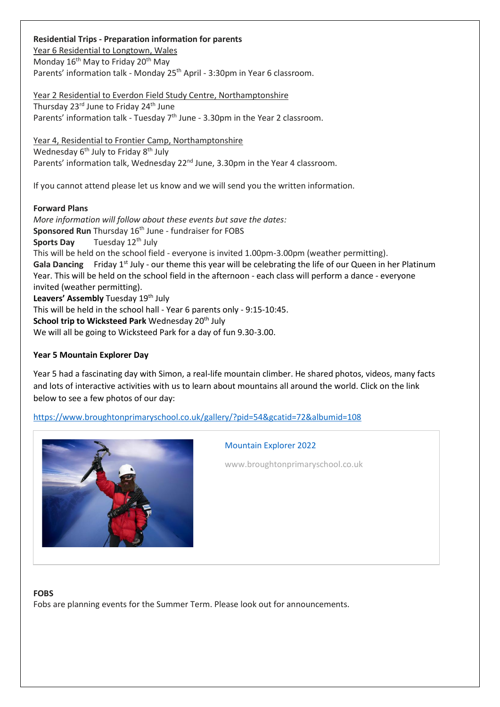**Residential Trips - Preparation information for parents** Year 6 Residential to Longtown, Wales Monday  $16<sup>th</sup>$  May to Friday  $20<sup>th</sup>$  May Parents' information talk - Monday 25<sup>th</sup> April - 3:30pm in Year 6 classroom.

Year 2 Residential to Everdon Field Study Centre, Northamptonshire

Thursday 23<sup>rd</sup> June to Friday 24<sup>th</sup> June Parents' information talk - Tuesday  $7<sup>th</sup>$  June - 3.30pm in the Year 2 classroom.

Year 4, Residential to Frontier Camp, Northamptonshire Wednesday 6<sup>th</sup> July to Friday 8<sup>th</sup> July Parents' information talk, Wednesday 22<sup>nd</sup> June, 3.30pm in the Year 4 classroom.

If you cannot attend please let us know and we will send you the written information.

**Forward Plans** *More information will follow about these events but save the dates:* **Sponsored Run** Thursday 16<sup>th</sup> June - fundraiser for FOBS **Sports Day** Tuesday 12<sup>th</sup> July This will be held on the school field - everyone is invited 1.00pm-3.00pm (weather permitting). Gala Dancing Friday 1<sup>st</sup> July - our theme this year will be celebrating the life of our Queen in her Platinum Year. This will be held on the school field in the afternoon - each class will perform a dance - everyone invited (weather permitting). Leavers' Assembly Tuesday 19<sup>th</sup> July This will be held in the school hall - Year 6 parents only - 9:15-10:45. **School trip to Wicksteed Park** Wednesday 20<sup>th</sup> July We will all be going to Wicksteed Park for a day of fun 9.30-3.00.

### **Year 5 Mountain Explorer Day**

Year 5 had a fascinating day with Simon, a real-life mountain climber. He shared photos, videos, many facts and lots of interactive activities with us to learn about mountains all around the world. Click on the link below to see a few photos of our day:

<https://www.broughtonprimaryschool.co.uk/gallery/?pid=54&gcatid=72&albumid=108>



# [Mountain Explorer 2022](https://www.broughtonprimaryschool.co.uk/gallery/?pid=54&gcatid=72&albumid=108)

www.broughtonprimaryschool.co.uk

#### **FOBS**

Fobs are planning events for the Summer Term. Please look out for announcements.